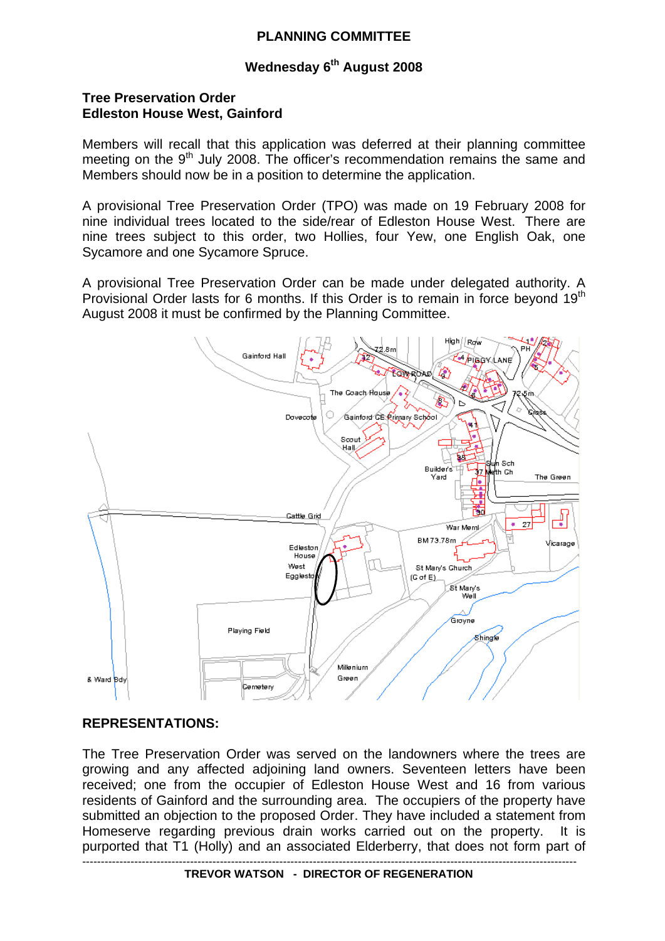# **PLANNING COMMITTEE**

# Wednesday 6<sup>th</sup> August 2008

#### **Tree Preservation Order Edleston House West, Gainford**

Members will recall that this application was deferred at their planning committee meeting on the 9<sup>th</sup> July 2008. The officer's recommendation remains the same and Members should now be in a position to determine the application.

A provisional Tree Preservation Order (TPO) was made on 19 February 2008 for nine individual trees located to the side/rear of Edleston House West. There are nine trees subject to this order, two Hollies, four Yew, one English Oak, one Sycamore and one Sycamore Spruce.

A provisional Tree Preservation Order can be made under delegated authority. A Provisional Order lasts for 6 months. If this Order is to remain in force bevond 19<sup>th</sup> August 2008 it must be confirmed by the Planning Committee.



#### **REPRESENTATIONS:**

------------------------------------------------------------------------------------------------------------------------------------- The Tree Preservation Order was served on the landowners where the trees are growing and any affected adjoining land owners. Seventeen letters have been received; one from the occupier of Edleston House West and 16 from various residents of Gainford and the surrounding area. The occupiers of the property have submitted an objection to the proposed Order. They have included a statement from Homeserve regarding previous drain works carried out on the property. It is purported that T1 (Holly) and an associated Elderberry, that does not form part of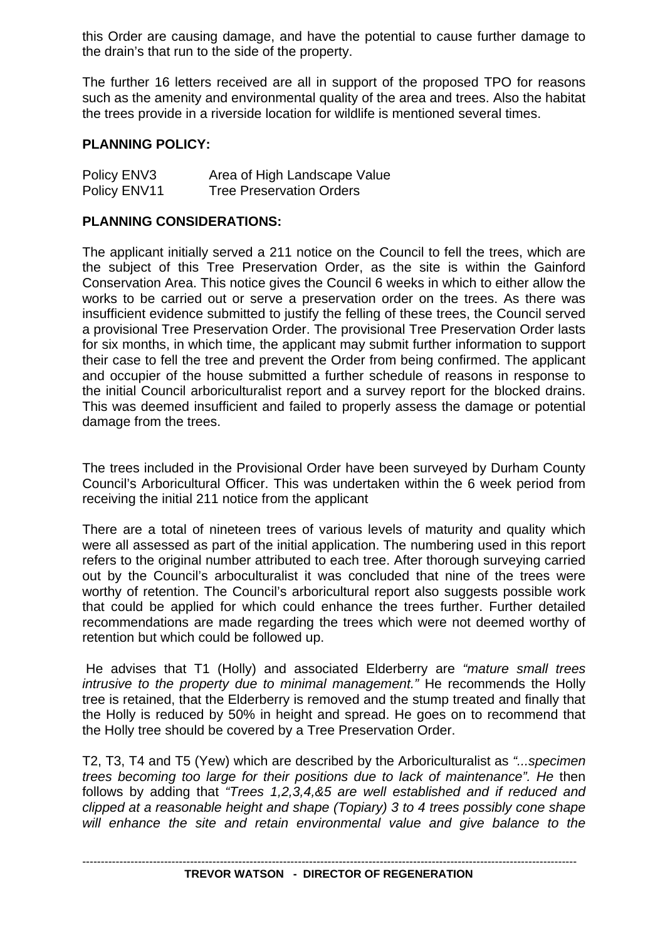this Order are causing damage, and have the potential to cause further damage to the drain's that run to the side of the property.

The further 16 letters received are all in support of the proposed TPO for reasons such as the amenity and environmental quality of the area and trees. Also the habitat the trees provide in a riverside location for wildlife is mentioned several times.

### **PLANNING POLICY:**

| Policy ENV3  | Area of High Landscape Value    |
|--------------|---------------------------------|
| Policy ENV11 | <b>Tree Preservation Orders</b> |

## **PLANNING CONSIDERATIONS:**

The applicant initially served a 211 notice on the Council to fell the trees, which are the subject of this Tree Preservation Order, as the site is within the Gainford Conservation Area. This notice gives the Council 6 weeks in which to either allow the works to be carried out or serve a preservation order on the trees. As there was insufficient evidence submitted to justify the felling of these trees, the Council served a provisional Tree Preservation Order. The provisional Tree Preservation Order lasts for six months, in which time, the applicant may submit further information to support their case to fell the tree and prevent the Order from being confirmed. The applicant and occupier of the house submitted a further schedule of reasons in response to the initial Council arboriculturalist report and a survey report for the blocked drains. This was deemed insufficient and failed to properly assess the damage or potential damage from the trees.

The trees included in the Provisional Order have been surveyed by Durham County Council's Arboricultural Officer. This was undertaken within the 6 week period from receiving the initial 211 notice from the applicant

There are a total of nineteen trees of various levels of maturity and quality which were all assessed as part of the initial application. The numbering used in this report refers to the original number attributed to each tree. After thorough surveying carried out by the Council's arboculturalist it was concluded that nine of the trees were worthy of retention. The Council's arboricultural report also suggests possible work that could be applied for which could enhance the trees further. Further detailed recommendations are made regarding the trees which were not deemed worthy of retention but which could be followed up.

 He advises that T1 (Holly) and associated Elderberry are *"mature small trees intrusive to the property due to minimal management.*" He recommends the Holly tree is retained, that the Elderberry is removed and the stump treated and finally that the Holly is reduced by 50% in height and spread. He goes on to recommend that the Holly tree should be covered by a Tree Preservation Order.

T2, T3, T4 and T5 (Yew) which are described by the Arboriculturalist as *"...specimen trees becoming too large for their positions due to lack of maintenance". He* then follows by adding that *"Trees 1,2,3,4,&5 are well established and if reduced and clipped at a reasonable height and shape (Topiary) 3 to 4 trees possibly cone shape will enhance the site and retain environmental value and give balance to the*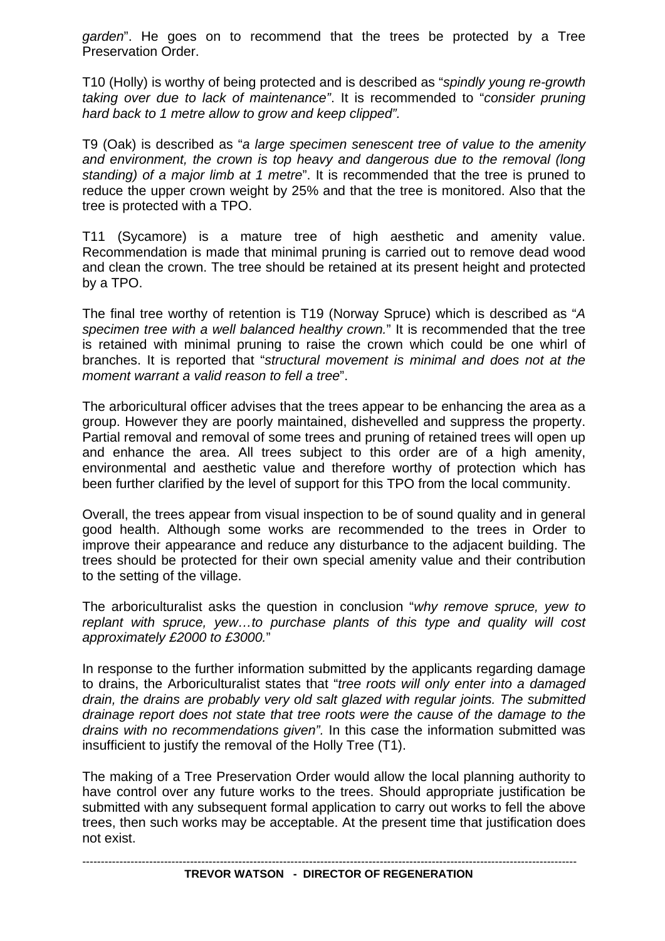*garden*". He goes on to recommend that the trees be protected by a Tree Preservation Order.

T10 (Holly) is worthy of being protected and is described as "*spindly young re-growth taking over due to lack of maintenance"*. It is recommended to "*consider pruning hard back to 1 metre allow to grow and keep clipped".* 

T9 (Oak) is described as "*a large specimen senescent tree of value to the amenity and environment, the crown is top heavy and dangerous due to the removal (long standing) of a major limb at 1 metre*". It is recommended that the tree is pruned to reduce the upper crown weight by 25% and that the tree is monitored. Also that the tree is protected with a TPO.

T11 (Sycamore) is a mature tree of high aesthetic and amenity value. Recommendation is made that minimal pruning is carried out to remove dead wood and clean the crown. The tree should be retained at its present height and protected by a TPO.

The final tree worthy of retention is T19 (Norway Spruce) which is described as "*A specimen tree with a well balanced healthy crown.*" It is recommended that the tree is retained with minimal pruning to raise the crown which could be one whirl of branches. It is reported that "*structural movement is minimal and does not at the moment warrant a valid reason to fell a tree*".

The arboricultural officer advises that the trees appear to be enhancing the area as a group. However they are poorly maintained, dishevelled and suppress the property. Partial removal and removal of some trees and pruning of retained trees will open up and enhance the area. All trees subject to this order are of a high amenity, environmental and aesthetic value and therefore worthy of protection which has been further clarified by the level of support for this TPO from the local community.

Overall, the trees appear from visual inspection to be of sound quality and in general good health. Although some works are recommended to the trees in Order to improve their appearance and reduce any disturbance to the adjacent building. The trees should be protected for their own special amenity value and their contribution to the setting of the village.

The arboriculturalist asks the question in conclusion "*why remove spruce, yew to replant with spruce, yew…to purchase plants of this type and quality will cost approximately £2000 to £3000.*"

In response to the further information submitted by the applicants regarding damage to drains, the Arboriculturalist states that "*tree roots will only enter into a damaged drain, the drains are probably very old salt glazed with regular joints. The submitted drainage report does not state that tree roots were the cause of the damage to the drains with no recommendations given".* In this case the information submitted was insufficient to justify the removal of the Holly Tree (T1).

The making of a Tree Preservation Order would allow the local planning authority to have control over any future works to the trees. Should appropriate justification be submitted with any subsequent formal application to carry out works to fell the above trees, then such works may be acceptable. At the present time that justification does not exist.